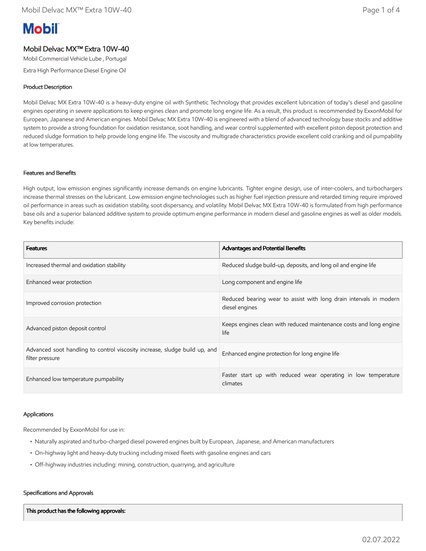# **Mobil**

### Mobil Delvac MX™ Extra 10W-40

Mobil Commercial Vehicle Lube , Portugal

Extra High Performance Diesel Engine Oil

#### Product Description

Mobil Delvac MX Extra 10W-40 is a heavy-duty engine oil with Synthetic Technology that provides excellent lubrication of today's diesel and gasoline engines operating in severe applications to keep engines clean and promote long engine life. As a result, this product is recommended by ExxonMobil for European, Japanese and American engines. Mobil Delvac MX Extra 10W-40 is engineered with a blend of advanced technology base stocks and additive system to provide a strong foundation for oxidation resistance, soot handling, and wear control supplemented with excellent piston deposit protection and reduced sludge formation to help provide long engine life. The viscosity and multigrade characteristics provide excellent cold cranking and oil pumpability at low temperatures.

#### Features and Benefits

High output, low emission engines significantly increase demands on engine lubricants. Tighter engine design, use of inter-coolers, and turbochargers increase thermal stresses on the lubricant. Low emission engine technologies such as higher fuel injection pressure and retarded timing require improved oil performance in areas such as oxidation stability, soot dispersancy, and volatility. Mobil Delvac MX Extra 10W-40 is formulated from high performance base oils and a superior balanced additive system to provide optimum engine performance in modern diesel and gasoline engines as well as older models. Key benefits include:

| <b>Features</b>                                                                               | <b>Advantages and Potential Benefits</b>                                             |
|-----------------------------------------------------------------------------------------------|--------------------------------------------------------------------------------------|
| Increased thermal and oxidation stability                                                     | Reduced sludge build-up, deposits, and long oil and engine life                      |
| Enhanced wear protection                                                                      | Long component and engine life                                                       |
| Improved corrosion protection                                                                 | Reduced bearing wear to assist with long drain intervals in modern<br>diesel engines |
| Advanced piston deposit control                                                               | Keeps engines clean with reduced maintenance costs and long engine<br>life           |
| Advanced soot handling to control viscosity increase, sludge build up, and<br>filter pressure | Enhanced engine protection for long engine life                                      |
| Enhanced low temperature pumpability                                                          | Faster start up with reduced wear operating in low temperature<br>climates           |

#### Applications

Recommended by ExxonMobil for use in:

- Naturally aspirated and turbo-charged diesel powered engines built by European, Japanese, and American manufacturers
- On-highway light and heavy-duty trucking including mixed fleets with gasoline engines and cars
- Off-highway industries including: mining, construction, quarrying, and agriculture

#### Specifications and Approvals

This product has the following approvals: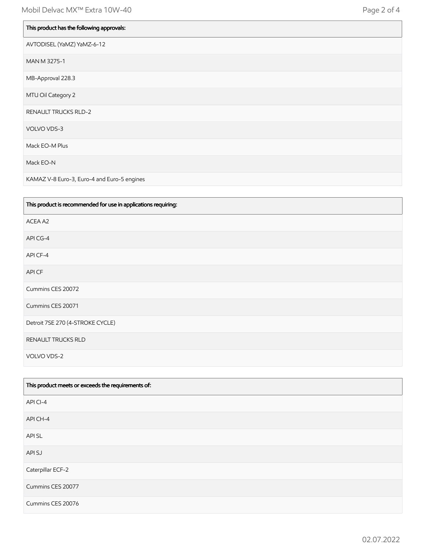| This product has the following approvals: |
|-------------------------------------------|
| AVTODISEL (YaMZ) YaMZ-6-12                |
| MAN M 3275-1                              |
| MB-Approval 228.3                         |
| MTU Oil Category 2                        |
| <b>RENAULT TRUCKS RLD-2</b>               |
| VOLVO VDS-3                               |
| Mack EO-M Plus                            |
| Mack EO-N                                 |

KAMAZ V-8 Euro-3, Euro-4 and Euro-5 engines

| This product is recommended for use in applications requiring: |
|----------------------------------------------------------------|
| ACEA A2                                                        |
| API CG-4                                                       |
| API CF-4                                                       |
| API CF                                                         |
| Cummins CES 20072                                              |
| Cummins CES 20071                                              |
| Detroit 7SE 270 (4-STROKE CYCLE)                               |
| RENAULT TRUCKS RLD                                             |
| VOLVO VDS-2                                                    |

| This product meets or exceeds the requirements of: |
|----------------------------------------------------|
| API CI-4                                           |
| API CH-4                                           |
| API SL                                             |
| API SJ                                             |
| Caterpillar ECF-2                                  |
| Cummins CES 20077                                  |
| Cummins CES 20076                                  |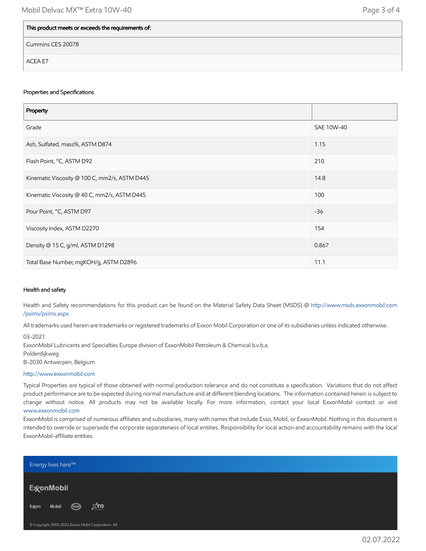## This product meets or exceeds the requirements of:

Cummins CES 20078

ACEA E7

#### Properties and Specifications

| Property                                      |            |
|-----------------------------------------------|------------|
| Grade                                         | SAE 10W-40 |
| Ash, Sulfated, mass%, ASTM D874               | 1.15       |
| Flash Point, °C, ASTM D92                     | 210        |
| Kinematic Viscosity @ 100 C, mm2/s, ASTM D445 | 14.8       |
| Kinematic Viscosity @ 40 C, mm2/s, ASTM D445  | 100        |
| Pour Point, °C, ASTM D97                      | $-36$      |
| Viscosity Index, ASTM D2270                   | 154        |
| Density @ 15 C, g/ml, ASTM D1298              | 0.867      |
| Total Base Number, mgKOH/g, ASTM D2896        | 11.1       |

#### Health and safety

Health and Safety recommendations for this product can be found on the Material Safety Data Sheet (MSDS) @ [http://www.msds.exxonmobil.com](http://www.msds.exxonmobil.com/psims/psims.aspx) /psims/psims.aspx

All trademarks used herein are trademarks or registered trademarks of Exxon Mobil Corporation or one of its subsidiaries unless indicated otherwise.

03-2021

ExxonMobil Lubricants and Specialties Europe division of ExxonMobil Petroleum & Chemical b.v.b.a.

Polderdijkweg

B-2030 Antwerpen, Belgium

[http://www.exxonmobil.com](http://www.exxonmobil.com/)

Typical Properties are typical of those obtained with normal production tolerance and do not constitute a specification. Variations that do not affect product performance are to be expected during normal manufacture and at different blending locations. The information contained herein is subject to change without notice. All products may not be available locally. For more information, contact your local ExxonMobil contact or visit [www.exxonmobil.com](http://www.exxonmobil.com/)

ExxonMobil is comprised of numerous affiliates and subsidiaries, many with names that include Esso, Mobil, or ExxonMobil. Nothing in this document is intended to override or supersede the corporate separateness of local entities. Responsibility for local action and accountability remains with the local ExxonMobil-affiliate entities.